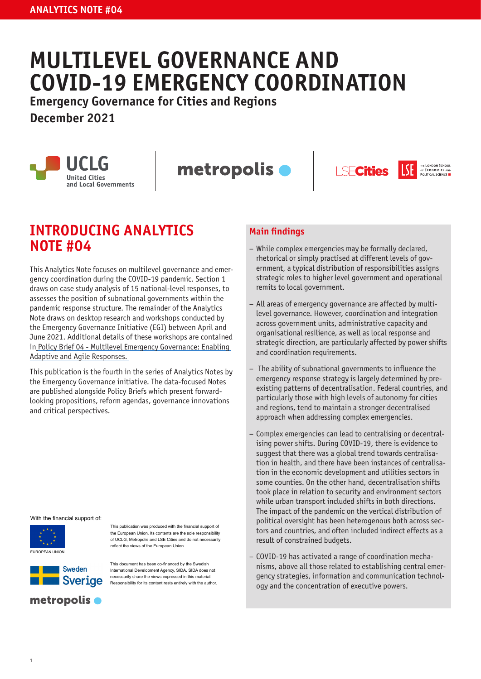# **MULTILEVEL GOVERNANCE AND COVID-19 EMERGENCY COORDINATION**

**Emergency Governance for Cities and Regions**

**December 2021**



metropolis **O** 





## **INTRODUCING ANALYTICS NOTE #04**

This Analytics Note focuses on multilevel governance and emergency coordination during the COVID-19 pandemic. Section 1 draws on case study analysis of 15 national-level responses, to assesses the position of subnational governments within the pandemic response structure. The remainder of the Analytics Note draws on desktop research and workshops conducted by the Emergency Governance Initiative (EGI) between April and June 2021. Additional details of these workshops are contained in Policy Brief 04 - Multilevel Emergency Governance: Enabling [Adaptive and Agile Responses.](https://www.lse.ac.uk/Cities/publications/Policy-Briefs-and-Analytics-Notes/Policy-Brief-04-Emergency-Governance-Initiative) 

This publication is the fourth in the series of Analytics Notes by the Emergency Governance initiative. The data-focused Notes are published alongside Policy Briefs which present forwardlooking propositions, reform agendas, governance innovations and critical perspectives.

#### With the financial support of:



This publication was produced with the fnancial support of the European Union. Its contents are the sole responsibility of UCLG, Metropolis and LSE Cities and do not necessarily refect the views of the European Union.



This document has been co-fnanced by the Swedish International Development Agency, SIDA. SIDA does not necessarily share the views expressed in this material. Responsibility for its content rests entirely with the author.

#### **Main findings**

- − While complex emergencies may be formally declared, rhetorical or simply practised at different levels of government, a typical distribution of responsibilities assigns strategic roles to higher level government and operational remits to local government.
- − All areas of emergency governance are affected by multilevel governance. However, coordination and integration across government units, administrative capacity and organisational resilience, as well as local response and strategic direction, are particularly affected by power shifts and coordination requirements.
- − The ability of subnational governments to influence the emergency response strategy is largely determined by preexisting patterns of decentralisation. Federal countries, and particularly those with high levels of autonomy for cities and regions, tend to maintain a stronger decentralised approach when addressing complex emergencies.
- − Complex emergencies can lead to centralising or decentralising power shifts. During COVID-19, there is evidence to suggest that there was a global trend towards centralisation in health, and there have been instances of centralisation in the economic development and utilities sectors in some counties. On the other hand, decentralisation shifts took place in relation to security and environment sectors while urban transport included shifts in both directions. The impact of the pandemic on the vertical distribution of political oversight has been heterogenous both across sectors and countries, and often included indirect effects as a result of constrained budgets.
- − COVID-19 has activated a range of coordination mechanisms, above all those related to establishing central emergency strategies, information and communication technology and the concentration of executive powers.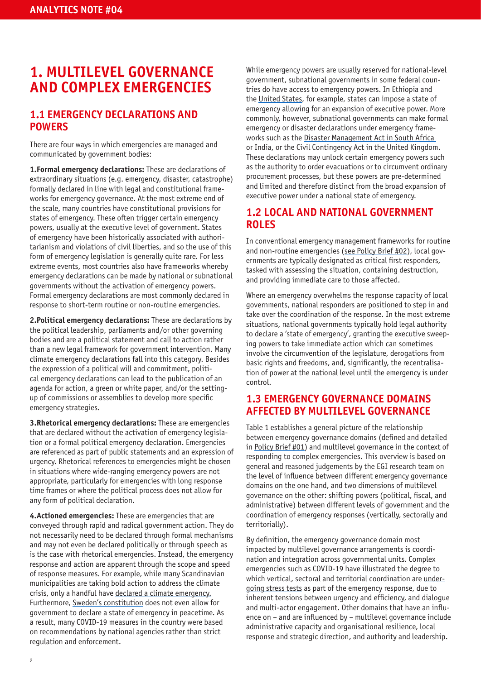### **1. MULTILEVEL GOVERNANCE AND COMPLEX EMERGENCIES**

### **1.1 EMERGENCY DECLARATIONS AND POWERS**

There are four ways in which emergencies are managed and communicated by government bodies:

**1.Formal emergency declarations:** These are declarations of extraordinary situations (e.g. emergency, disaster, catastrophe) formally declared in line with legal and constitutional frameworks for emergency governance. At the most extreme end of the scale, many countries have constitutional provisions for states of emergency. These often trigger certain emergency powers, usually at the executive level of government. States of emergency have been historically associated with authoritarianism and violations of civil liberties, and so the use of this form of emergency legislation is generally quite rare. For less extreme events, most countries also have frameworks whereby emergency declarations can be made by national or subnational governments without the activation of emergency powers. Formal emergency declarations are most commonly declared in response to short-term routine or non-routine emergencies.

**2.Political emergency declarations:** These are declarations by the political leadership, parliaments and/or other governing bodies and are a political statement and call to action rather than a new legal framework for government intervention. Many climate emergency declarations fall into this category. Besides the expression of a political will and commitment, political emergency declarations can lead to the publication of an agenda for action, a green or white paper, and/or the settingup of commissions or assemblies to develop more specific emergency strategies.

**3.Rhetorical emergency declarations:** These are emergencies that are declared without the activation of emergency legislation or a formal political emergency declaration. Emergencies are referenced as part of public statements and an expression of urgency. Rhetorical references to emergencies might be chosen in situations where wide-ranging emergency powers are not appropriate, particularly for emergencies with long response time frames or where the political process does not allow for any form of political declaration.

**4.Actioned emergencies:** These are emergencies that are conveyed through rapid and radical government action. They do not necessarily need to be declared through formal mechanisms and may not even be declared politically or through speech as is the case with rhetorical emergencies. Instead, the emergency response and action are apparent through the scope and speed of response measures. For example, while many Scandinavian municipalities are taking bold action to address the climate crisis, only a handful have [declared a climate emergency.](https://voxeu.org/article/sweden-s-constitution-decides-its-exceptional-covid-19-policy) Furthermore, [Sweden's constitution](https://voxeu.org/article/sweden-s-constitution-decides-its-exceptional-covid-19-policy) does not even allow for government to declare a state of emergency in peacetime. As a result, many COVID-19 measures in the country were based on recommendations by national agencies rather than strict regulation and enforcement.

While emergency powers are usually reserved for national-level government, subnational governments in some federal countries do have access to emergency powers. In [Ethiopia](http://www.forumfed.org/wp-content/uploads/2020/04/EthiopiaCOVID-1.pdf) and the [United States,](https://www.multistate.us/research/covid/public?category=State+of+Emergency+Declaration&level=state) for example, states can impose a state of emergency allowing for an expansion of executive power. More commonly, however, subnational governments can make formal emergency or disaster declarations under emergency frameworks such as the [Disaster Management Act in South Africa](https://www.gov.za/documents/disaster-management-act)  or [India](https://legislative.gov.in/actsofparliamentfromtheyear/disaster-management-act-2005), or the [Civil Contingency Act](www.legislation.gov.uk/ukpga/2004/36/contents) in the United Kingdom. These declarations may unlock certain emergency powers such as the authority to order evacuations or to circumvent ordinary procurement processes, but these powers are pre-determined and limited and therefore distinct from the broad expansion of executive power under a national state of emergency.

### **1.2 LOCAL AND NATIONAL GOVERNMENT ROLES**

In conventional emergency management frameworks for routine and non-routine emergencies [\(see Policy Brief #02\)](https://www.lse.ac.uk/cities/publications/Policy-Briefs-and-Analytics-Notes/Policy-Brief-02-Emergency-Governance-Initiative), local governments are typically designated as critical first responders, tasked with assessing the situation, containing destruction, and providing immediate care to those affected.

Where an emergency overwhelms the response capacity of local governments, national responders are positioned to step in and take over the coordination of the response. In the most extreme situations, national governments typically hold legal authority to declare a 'state of emergency', granting the executive sweeping powers to take immediate action which can sometimes involve the circumvention of the legislature, derogations from basic rights and freedoms, and, significantly, the recentralisation of power at the national level until the emergency is under control.

### **1.3 EMERGENCY GOVERNANCE DOMAINS AFFECTED BY MULTILEVEL GOVERNANCE**

Table 1 establishes a general picture of the relationship between emergency governance domains (defined and detailed in [Policy Brief #01\)](https://www.lse.ac.uk/cities/publications/Policy-Briefs-and-Analytics-Notes/Policy-Brief-01-Emergency-Governance-Initiative) and multilevel governance in the context of responding to complex emergencies. This overview is based on general and reasoned judgements by the EGI research team on the level of influence between different emergency governance domains on the one hand, and two dimensions of multilevel governance on the other: shifting powers (political, fiscal, and administrative) between different levels of government and the coordination of emergency responses (vertically, sectorally and territorially).

By definition, the emergency governance domain most impacted by multilevel governance arrangements is coordination and integration across governmental units. Complex emergencies such as COVID-19 have illustrated the degree to which vertical, sectoral and territorial coordination are [under](https://rm.coe.int/cddg-2020-20e-final-reportdemocraticgovernancecovid19-for-publication-/1680a0beed)[going stress tests](https://rm.coe.int/cddg-2020-20e-final-reportdemocraticgovernancecovid19-for-publication-/1680a0beed) as part of the emergency response, due to inherent tensions between urgency and efficiency, and dialogue and multi-actor engagement. Other domains that have an influence on – and are influenced by – multilevel governance include administrative capacity and organisational resilience, local response and strategic direction, and authority and leadership.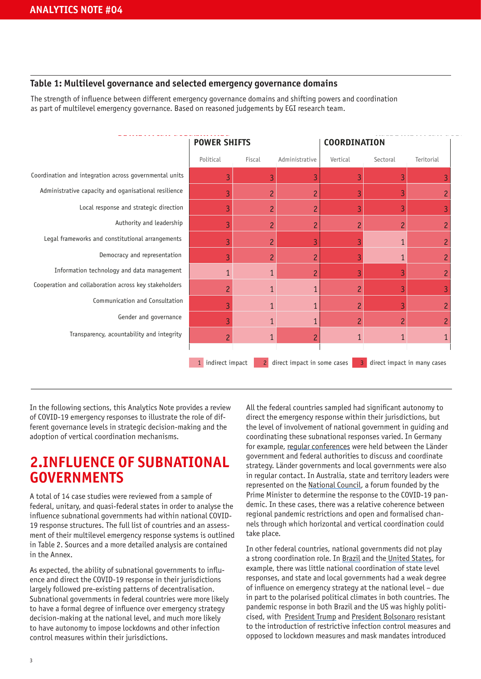#### **Table 1: Multilevel governance and selected emergency governance domains**

The strength of influence between different emergency governance domains and shifting powers and coordination as part of multilevel emergency governance. Based on reasoned judgements by EGI research team.

|                                                        | <b>POWER SHIFTS</b> |                | <b>COORDINATION</b>         |                |                |                             |
|--------------------------------------------------------|---------------------|----------------|-----------------------------|----------------|----------------|-----------------------------|
|                                                        | Political           | Fiscal         | Administrative              | Vertical       | Sectoral       | Teritorial                  |
| Coordination and integration across governmental units | 3                   | $\overline{3}$ | 3                           | 3              | 3              | 3                           |
| Administrative capacity and oganisational resilience   | 3                   | $\overline{c}$ | $\overline{c}$              | 3              | 3              | $\overline{c}$              |
| Local response and strategic direction                 | 3                   | $\overline{c}$ | $\overline{c}$              | 3              | 3              | 3                           |
| Authority and leadership                               | $\overline{3}$      | $\overline{c}$ | $\overline{c}$              | $\overline{2}$ | $\overline{c}$ | $\overline{c}$              |
| Legal frameworks and constitutional arrangements       | 3                   | $\overline{c}$ | 3                           | 3              | $\mathbf{1}$   | $\overline{c}$              |
| Democracy and representation                           | $\overline{3}$      | $\overline{c}$ | $\overline{c}$              | 3              | 1              | $\overline{c}$              |
| Information technology and data management             | $\mathbf{1}$        | $\mathbf{1}$   | $\overline{c}$              | 3              |                | $\overline{c}$              |
| Cooperation and collaboration across key stakeholders  | $\overline{c}$      | $\mathbf{1}$   | 1                           | $\overline{c}$ | R              | 3                           |
| Communication and Consultation                         | 3                   | $\mathbf{1}$   | 1                           | $\overline{c}$ |                | $\overline{c}$              |
| Gender and governance                                  | $\overline{3}$      | $\mathbf{1}$   |                             | $\overline{c}$ | $\overline{c}$ | $\overline{c}$              |
| Transparency, acountability and integrity              | $\overline{c}$      | $\mathbf{1}$   | $\overline{c}$              | $\mathbf{1}$   | 1              | 1                           |
|                                                        | 1 indirect impact   | $\overline{2}$ | direct impact in some cases | 3              |                | direct impact in many cases |

In the following sections, this Analytics Note provides a review of COVID-19 emergency responses to illustrate the role of different governance levels in strategic decision-making and the adoption of vertical coordination mechanisms.

# **2.INFLUENCE OF SUBNATIONAL GOVERNMENTS**

A total of 14 case studies were reviewed from a sample of federal, unitary, and quasi-federal states in order to analyse the influence subnational governments had within national COVID-19 response structures. The full list of countries and an assessment of their multilevel emergency response systems is outlined in Table 2. Sources and a more detailed analysis are contained in the Annex.

As expected, the ability of subnational governments to influence and direct the COVID-19 response in their jurisdictions largely followed pre-existing patterns of decentralisation. Subnational governments in federal countries were more likely to have a formal degree of influence over emergency strategy decision-making at the national level, and much more likely to have autonomy to impose lockdowns and other infection control measures within their jurisdictions.

All the federal countries sampled had significant autonomy to direct the emergency response within their jurisdictions, but the level of involvement of national government in guiding and coordinating these subnational responses varied. In Germany for example, [regular conferences](https://rm.coe.int/cddg-2020-20e-final-reportdemocraticgovernancecovid19-for-publication-/1680a0beed) were held between the Länder government and federal authorities to discuss and coordinate strategy. Länder governments and local governments were also in regular contact. In Australia, state and territory leaders were represented on the [National Council,](https://www.theguardian.com/australia-news/2020/may/29/coag-is-no-more-national-cabinet-here-to-stay-with-focus-on-post-covid-job-creation) a forum founded by the Prime Minister to determine the response to the COVID-19 pandemic. In these cases, there was a relative coherence between regional pandemic restrictions and open and formalised channels through which horizontal and vertical coordination could take place.

In other federal countries, national governments did not play a strong coordination role. In [Brazil](https://www.redalyc.org/journal/2410/241066211017/html/) and th[e United States](https://www.bsg.ox.ac.uk/sites/default/files/2020-08/BSG-WP-2020-034.pdf), for example, there was little national coordination of state level responses, and state and local governments had a weak degree of influence on emergency strategy at the national level – due in part to the polarised political climates in both countries. The pandemic response in both Brazil and the US was highly politicised, with [President Trump](https://www.bmj.com/content/bmj/369/bmj.m1596.full.pdf) and [President Bolsonaro](https://www.redalyc.org/journal/2410/241066211017/html/) resistant to the introduction of restrictive infection control measures and opposed to lockdown measures and mask mandates introduced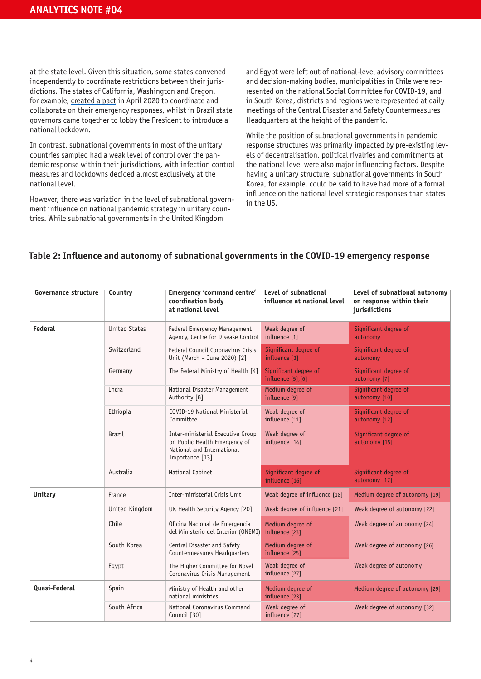at the state level. Given this situation, some states convened independently to coordinate restrictions between their jurisdictions. The states of California, Washington and Oregon, for example, [created a pact](https://www.gov.ca.gov/2020/04/13/california-oregon-washington-announce-western-states-pact/) in April 2020 to coordinate and collaborate on their emergency responses, whilst in Brazil state governors came together to [lobby the President](https://www.reuters.com/business/healthcare-pharmaceuticals/brazil-governors-urge-extension-covid-19-emergency-measures-2020-12-19/) to introduce a national lockdown.

In contrast, subnational governments in most of the unitary countries sampled had a weak level of control over the pandemic response within their jurisdictions, with infection control measures and lockdowns decided almost exclusively at the national level.

However, there was variation in the level of subnational government influence on national pandemic strategy in unitary countries. While subnational governments in the [United Kingdom](https://www.thebusinessdesk.com/northwest/news/2063177-metro-mayors-joint-plea-to-government-on-vital-coronavirus-testing-data) 

and Egypt were left out of national-level advisory committees and decision-making bodies, municipalities in Chile were represented on the national [Social Committee for COVID-19,](https://www.oecd.org/coronavirus/policy-responses/the-territorial-impact-of-covid-19-managing-the-crisis-across-levels-of-government-d3e314e1/) and in South Korea, districts and regions were represented at daily meetings of the [Central Disaster and Safety Countermeasures](https://www.brookings.edu/wp-content/uploads/2021/06/MENA-Covid-19-Survey-South-Korea-Dyer-June-14-2021.pdf)  [Headquarters](https://www.brookings.edu/wp-content/uploads/2021/06/MENA-Covid-19-Survey-South-Korea-Dyer-June-14-2021.pdf) at the height of the pandemic.

While the position of subnational governments in pandemic response structures was primarily impacted by pre-existing levels of decentralisation, political rivalries and commitments at the national level were also major influencing factors. Despite having a unitary structure, subnational governments in South Korea, for example, could be said to have had more of a formal influence on the national level strategic responses than states in the US.

#### **Table 2: Influence and autonomy of subnational governments in the COVID-19 emergency response**

| <b>Governance structure</b> | Country              | Emergency 'command centre'<br>coordination body<br>at national level                                                | Level of subnational<br>influence at national level | Level of subnational autonomy<br>on response within their<br>jurisdictions |
|-----------------------------|----------------------|---------------------------------------------------------------------------------------------------------------------|-----------------------------------------------------|----------------------------------------------------------------------------|
| Federal                     | <b>United States</b> | Federal Emergency Management<br>Agency, Centre for Disease Control                                                  | Weak degree of<br>influence [1]                     | Significant degree of<br>autonomy                                          |
|                             | Switzerland          | Federal Council Coronavirus Crisis<br>Unit (March - June 2020) [2]                                                  | Significant degree of<br>influence [3]              | Significant degree of<br>autonomy                                          |
|                             | Germany              | The Federal Ministry of Health [4]                                                                                  | Significant degree of<br>influence [5], [6]         | Significant degree of<br>autonomy [7]                                      |
|                             | India                | National Disaster Management<br>Authority [8]                                                                       | Medium degree of<br>influence [9]                   | Significant degree of<br>autonomy [10]                                     |
|                             | Ethiopia             | COVID-19 National Ministerial<br>Committee                                                                          | Weak degree of<br>influence [11]                    | Significant degree of<br>autonomy [12]                                     |
|                             | <b>Brazil</b>        | Inter-ministerial Executive Group<br>on Public Health Emergency of<br>National and International<br>Importance [13] | Weak degree of<br>influence [14]                    | Significant degree of<br>autonomy [15]                                     |
|                             | Australia            | National Cabinet                                                                                                    | Significant degree of<br>influence [16]             | Significant degree of<br>autonomy [17]                                     |
| <b>Unitary</b>              | France               | Inter-ministerial Crisis Unit                                                                                       | Weak degree of influence [18]                       | Medium degree of autonomy [19]                                             |
|                             | United Kingdom       | UK Health Security Agency [20]                                                                                      | Weak degree of influence [21]                       | Weak degree of autonomy [22]                                               |
|                             | Chile                | Oficina Nacional de Emergencia<br>del Ministerio del Interior (ONEMI)                                               | Medium degree of<br>influence [23]                  | Weak degree of autonomy [24]                                               |
|                             | South Korea          | Central Disaster and Safety<br>Countermeasures Headquarters                                                         | Medium degree of<br>influence [25]                  | Weak degree of autonomy [26]                                               |
|                             | Egypt                | The Higher Committee for Novel<br>Coronavirus Crisis Management                                                     | Weak degree of<br>influence [27]                    | Weak degree of autonomy                                                    |
| Quasi-Federal               | Spain                | Ministry of Health and other<br>national ministries                                                                 | Medium degree of<br>influence [23]                  | Medium degree of autonomy [29]                                             |
|                             | South Africa         | National Coronavirus Command<br>Council [30]                                                                        | Weak degree of<br>influence [27]                    | Weak degree of autonomy [32]                                               |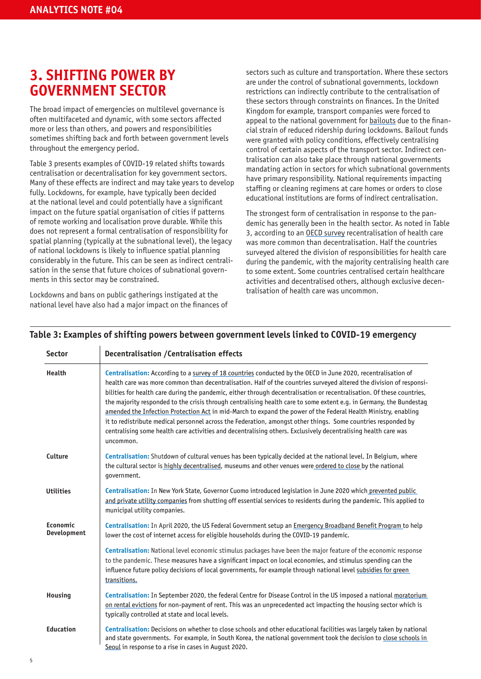# **3. SHIFTING POWER BY GOVERNMENT SECTOR**

The broad impact of emergencies on multilevel governance is often multifaceted and dynamic, with some sectors affected more or less than others, and powers and responsibilities sometimes shifting back and forth between government levels throughout the emergency period.

Table 3 presents examples of COVID-19 related shifts towards centralisation or decentralisation for key government sectors. Many of these effects are indirect and may take years to develop fully. Lockdowns, for example, have typically been decided at the national level and could potentially have a significant impact on the future spatial organisation of cities if patterns of remote working and localisation prove durable. While this does not represent a formal centralisation of responsibility for spatial planning (typically at the subnational level), the legacy of national lockdowns is likely to influence spatial planning considerably in the future. This can be seen as indirect centralisation in the sense that future choices of subnational governments in this sector may be constrained.

Lockdowns and bans on public gatherings instigated at the national level have also had a major impact on the finances of sectors such as culture and transportation. Where these sectors are under the control of subnational governments, lockdown restrictions can indirectly contribute to the centralisation of these sectors through constraints on finances. In the United Kingdom for example, transport companies were forced to appeal to the national government for [bailouts](https://www.bbc.co.uk/news/uk-england-london-57315385) due to the financial strain of reduced ridership during lockdowns. Bailout funds were granted with policy conditions, effectively centralising control of certain aspects of the transport sector. Indirect centralisation can also take place through national governments mandating action in sectors for which subnational governments have primary responsibility. National requirements impacting staffing or cleaning regimens at care homes or orders to close educational institutions are forms of indirect centralisation.

The strongest form of centralisation in response to the pandemic has generally been in the health sector. As noted in Table 3, according to an [OECD survey](https://www.oecd.org/coronavirus/policy-responses/covid-19-and-fiscal-relations-across-levels-of-government-ab438b9f/) recentralisation of health care was more common than decentralisation. Half the countries surveyed altered the division of responsibilities for health care during the pandemic, with the majority centralising health care to some extent. Some countries centralised certain healthcare activities and decentralised others, although exclusive decentralisation of health care was uncommon.

| Health                  |                                                                                                                                                                                                                                                                                                                                                                                                                                                                                                                                                                                                                                                                                                                                                                                                                                                         |
|-------------------------|---------------------------------------------------------------------------------------------------------------------------------------------------------------------------------------------------------------------------------------------------------------------------------------------------------------------------------------------------------------------------------------------------------------------------------------------------------------------------------------------------------------------------------------------------------------------------------------------------------------------------------------------------------------------------------------------------------------------------------------------------------------------------------------------------------------------------------------------------------|
|                         | Centralisation: According to a survey of 18 countries conducted by the OECD in June 2020, recentralisation of<br>health care was more common than decentralisation. Half of the countries surveyed altered the division of responsi-<br>bilities for health care during the pandemic, either through decentralisation or recentralisation. Of these countries,<br>the majority responded to the crisis through centralising health care to some extent e.g. in Germany, the Bundestag<br>amended the Infection Protection Act in mid-March to expand the power of the Federal Health Ministry, enabling<br>it to redistribute medical personnel across the Federation, amongst other things. Some countries responded by<br>centralising some health care activities and decentralising others. Exclusively decentralising health care was<br>uncommon. |
| Culture                 | Centralisation: Shutdown of cultural venues has been typically decided at the national level. In Belgium, where<br>the cultural sector is highly decentralised, museums and other venues were ordered to close by the national<br>government.                                                                                                                                                                                                                                                                                                                                                                                                                                                                                                                                                                                                           |
| <b>Utilities</b>        | Centralisation: In New York State, Governor Cuomo introduced legislation in June 2020 which prevented public<br>and private utility companies from shutting off essential services to residents during the pandemic. This applied to<br>municipal utility companies.                                                                                                                                                                                                                                                                                                                                                                                                                                                                                                                                                                                    |
| Economic<br>Development | Centralisation: In April 2020, the US Federal Government setup an Emergency Broadband Benefit Program to help<br>lower the cost of internet access for eligible households during the COVID-19 pandemic.                                                                                                                                                                                                                                                                                                                                                                                                                                                                                                                                                                                                                                                |
|                         | <b>Centralisation: National level economic stimulus packages have been the major feature of the economic response</b><br>to the pandemic. These measures have a significant impact on local economies, and stimulus spending can the<br>influence future policy decisions of local governments, for example through national level subsidies for green<br>transitions.                                                                                                                                                                                                                                                                                                                                                                                                                                                                                  |
| <b>Housing</b>          | Centralisation: In September 2020, the federal Centre for Disease Control in the US imposed a national moratorium<br>on rental evictions for non-payment of rent. This was an unprecedented act impacting the housing sector which is<br>typically controlled at state and local levels.                                                                                                                                                                                                                                                                                                                                                                                                                                                                                                                                                                |
| <b>Education</b>        | Centralisation: Decisions on whether to close schools and other educational facilities was largely taken by national<br>and state governments. For example, in South Korea, the national government took the decision to close schools in<br>Seoul in response to a rise in cases in August 2020.                                                                                                                                                                                                                                                                                                                                                                                                                                                                                                                                                       |

#### Table 3: Examples of shifting powers between government levels linked to COVID-19 emergency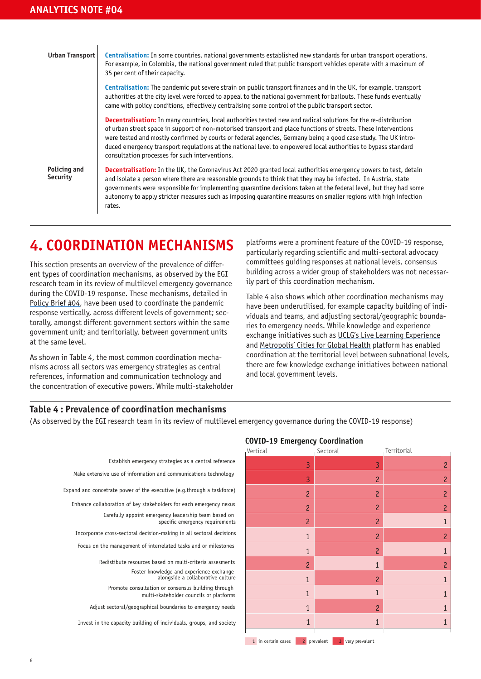#### **Urban Transport**

**Centralisation:** In some countries, national governments established new standards for urban transport operations. For example, in Colombia, the national government ruled that public transport vehicles operate with a maximum of 35 per cent of their capacity.

**Centralisation:** The pandemic put severe strain on public transport finances and in the UK, for example, transport authorities at the city level were forced to appeal to the national government for bailouts. These funds eventually came with policy conditions, effectively centralising some control of the public transport sector.

**Decentralisation:** In many countries, local authorities tested new and radical solutions for the re-distribution of urban street space in support of non-motorised transport and place functions of streets. These interventions were tested and mostly confirmed by courts or federal agencies, Germany being a good case study. The UK introduced emergency transport regulations at the national level to empowered local authorities to bypass standard consultation processes for such interventions.

Some countries responded by centralising some health care activities and **Security** Some countries responded by centralising some health care activities and decentralising others. Exclusively decentralising health care was uncommon. **Policing and**  **Decentralisation:** In the UK, the Coronavirus Act 2020 granted local authorities emergency powers to test, detain and isolate a person where there are reasonable grounds to think that they may be infected. In Austria, state governments were responsible for implementing quarantine decisions taken at the federal level, but they had some autonomy to apply stricter measures such as imposing quarantine measures on smaller regions with high infection rates.

#### **4. COORDINATION MECHANISMS** furthermore,  $\mathbf{q}_s$ **Centralisation:** Lockdowns typically decided at the national level and furlough schemes usually directly set up by  $\mathbf{A}_s$

This section presents an overview of the prevalence of different types of coordination mechanisms, as observed by the EGI research team in its review of multilevel emergency governance during the COVID-19 response. These mechanisms, detailed in [Policy Brief #04,](https://www.lse.ac.uk/Cities/publications/Policy-Briefs-and-Analytics-Notes/Policy-Brief-04-Emergency-Governance-Initiative) have been used to coordinate the pandemic response vertically, across different levels of government; secdistance contrary, and communication or government, see government unit; and territorially, between government units **CENTRALIS Housing Centralisation:** Rent moratoriums imposed at the national level, impacting **Education Centralisation:** Decisions on whether to close schools and other educational **URBAN TRANSPORTER** the national level empowered local authorities to be not the national level  $\mathsf{Polic}$ at the same to **Housing Centralisation:** Rent moratoriums imposed at the national level, impacting **Education Centralisation:** Decisions on whether to close schools and other educational **URBAN TRANSPORTER** the national level empowered local authorities to be not the national level  $P$  only and  $P$ at the same to

> As shown in Table 4, the most common coordination mechanisms across all sectors was emergency strategies as central references, information and communication technology and the concentration of executive powers. While multi-stakeholder to appeal to the national government for bailouts. These funds eventually **December 11** to appeal to the national government for bailouts. These funds eventually **Decentralisation:** In the UK, the Coronavirus Act 2020 granted local

platforms were a prominent feature of the COVID-19 response, particularly regarding scientific and multi-sectoral advocacy committees guiding responses at national levels, consensus building across a wider group of stakeholders was not necessarily part of this coordination mechanism.

Table 4 also shows which other coordination mechanisms may have been underutilised, for example capacity building of individuals and teams, and adjusting sectoral/geographic boundaries to emergency needs. While knowledge and experience exchange initiatives such as [UCLG's Live Learning Experience](https://www.uclg.org/en/issues/live-learning-experience-beyondtheoutbreak) and [Metropolis' Cities for Global Health](https://www.metropolis.org/news/cities-global-health) platform has enabled coordination at the territorial level between subnational levels, there are few knowledge exchange initiatives between national and local government levels.

#### Table 4 : Prevalence of coordination mechanisms **Environment Decentralisation:** Emergency powers, introduced at the national level, **Environment Decentralisation:** Emergency powers, introduced at the national level,

(As observed by the EGI research team in its review of multilevel emergency governance during the COVID-19 response)

| Establish emergency strategies as a central reference                                         |
|-----------------------------------------------------------------------------------------------|
| Make extensive use of information and communications technology                               |
| Expand and concetrate power of the executive (e.g.through a taskforce)                        |
| Enhance collaboration of key stakeholders for each emergency nexus                            |
| Carefully appoint emergency leadership team based on<br>specific emergency requirements       |
| Incorporate cross-sectoral decision-making in all sectoral decisions                          |
| Focus on the management of interrelated tasks and or milestones                               |
| Redistibute resources based on multi-criteria assesments                                      |
| Foster knowledge and experience exchange<br>alongside a collaborative culture                 |
| Promote consultation or consensus building through<br>multi-skateholder councils or platforms |
| Adjust sectoral/geographical boundaries to emergency needs                                    |

Invest in the capacity building of individuals, groups, and society Invest in the capacity building of individuals, groups, and society

#### **COVID-19 Emergency Coordination COVID-19 Emergency Coordination**

| Vertical       | Sectoral       | Territorial    |
|----------------|----------------|----------------|
| $\overline{3}$ | 3              | $\overline{c}$ |
| 3              | $\overline{c}$ | $\overline{c}$ |
| $\overline{c}$ | $\overline{c}$ | $\overline{c}$ |
| $\overline{c}$ | $\overline{c}$ | $\overline{c}$ |
| $\overline{c}$ | $\overline{c}$ | $\mathbf{1}$   |
| $\mathbf{1}$   | $\overline{c}$ | $\overline{c}$ |
| $\overline{1}$ | $\overline{c}$ | $\mathbf{1}$   |
| $\overline{c}$ | $\mathbf{1}$   | $\overline{c}$ |
| $\mathbf{1}$   | $\overline{c}$ | $\overline{1}$ |
| $\mathbf{1}$   | $\mathbf{1}$   | $\mathbf{1}$   |
| $\mathbf{1}$   | $\overline{c}$ | $\overline{1}$ |
| $\mathbf{1}$   | $\mathbf{1}$   | $\mathbf{1}$   |
|                |                |                |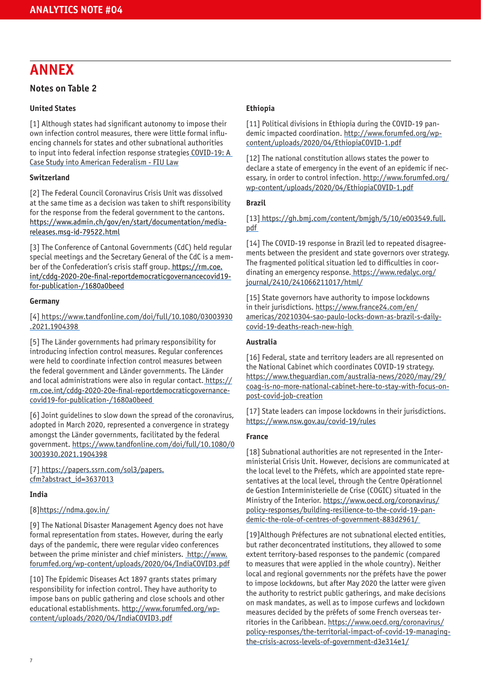# **ANNEX**

#### **Notes on Table 2**

#### **United States**

[1] Although states had significant autonomy to impose their own infection control measures, there were little formal influencing channels for states and other subnational authorities to input into federal infection response strategies COVID-19: A [Case Study into American Federalism - FIU Law](https://law.fiu.edu/2020/05/04/covid-19-a-case-study-into-american-federalism/)

#### **Switzerland**

[2] The Federal Council Coronavirus Crisis Unit was dissolved at the same time as a decision was taken to shift responsibility for the response from the federal government to the cantons. [https://www.admin.ch/gov/en/start/documentation/media](https://www.admin.ch/gov/en/start/documentation/media-releases.msg-id-79522.html)[releases.msg-id-79522.html](https://www.admin.ch/gov/en/start/documentation/media-releases.msg-id-79522.html)

[3] The Conference of Cantonal Governments (CdC) held regular special meetings and the Secretary General of the CdC is a member of the Confederation's crisis staff group. [https://rm.coe.](https://rm.coe.int/cddg-2020-20e-final-reportdemocraticgovernancecovid19-for-publication-/1680a0beed) [int/cddg-2020-20e-final-reportdemocraticgovernancecovid19](https://rm.coe.int/cddg-2020-20e-final-reportdemocraticgovernancecovid19-for-publication-/1680a0beed) [for-publication-/1680a0beed](https://rm.coe.int/cddg-2020-20e-final-reportdemocraticgovernancecovid19-for-publication-/1680a0beed)

#### **Germany**

[4[\] https://www.tandfonline.com/doi/full/10.1080/03003930](https://www.tandfonline.com/doi/full/10.1080/03003930.2021.1904398) [.2021.1904398](https://www.tandfonline.com/doi/full/10.1080/03003930.2021.1904398) 

[5] The Länder governments had primary responsibility for introducing infection control measures. Regular conferences were held to coordinate infection control measures between the federal government and Länder governments. The Länder and local administrations were also in regular contact[. https://](https://rm.coe.int/cddg-2020-20e-final-reportdemocraticgovernancecovid19-for-publication-/1680a0beed) [rm.coe.int/cddg-2020-20e-final-reportdemocraticgovernance](https://rm.coe.int/cddg-2020-20e-final-reportdemocraticgovernancecovid19-for-publication-/1680a0beed)[covid19-for-publication-/1680a0beed](https://rm.coe.int/cddg-2020-20e-final-reportdemocraticgovernancecovid19-for-publication-/1680a0beed) 

[6] Joint guidelines to slow down the spread of the coronavirus, adopted in March 2020, represented a convergence in strategy amongst the Länder governments, facilitated by the federal government. [https://www.tandfonline.com/doi/full/10.1080/0](https://www.tandfonline.com/doi/full/10.1080/03003930.2021.1904398) [3003930.2021.1904398](https://www.tandfonline.com/doi/full/10.1080/03003930.2021.1904398)

#### [7[\] https://papers.ssrn.com/sol3/papers.](https://papers.ssrn.com/sol3/papers.cfm?abstract_id=3637013) [cfm?abstract\\_id=3637013](https://papers.ssrn.com/sol3/papers.cfm?abstract_id=3637013)

#### **India**

#### [8]https://ndma.gov.in/

[9] The National Disaster Management Agency does not have formal representation from states. However, during the early days of the pandemic, there were regular video conferences between the prime minister and chief ministers. [http://www.](http://www.forumfed.org/wp-content/uploads/2020/04/IndiaCOVID3.pdf) [forumfed.org/wp-content/uploads/2020/04/IndiaCOVID3.pdf](http://www.forumfed.org/wp-content/uploads/2020/04/IndiaCOVID3.pdf)

[10] The Epidemic Diseases Act 1897 grants states primary responsibility for infection control. They have authority to impose bans on public gathering and close schools and other educational establishments. [http://www.forumfed.org/wp](http://www.forumfed.org/wp-content/uploads/2020/04/IndiaCOVID3.pdf)[content/uploads/2020/04/IndiaCOVID3.pdf](http://www.forumfed.org/wp-content/uploads/2020/04/IndiaCOVID3.pdf)

#### **Ethiopia**

[11] Political divisions in Ethiopia during the COVID-19 pandemic impacted coordination. [http://www.forumfed.org/wp](http://www.forumfed.org/wp-content/uploads/2020/04/EthiopiaCOVID-1.pdf)[content/uploads/2020/04/EthiopiaCOVID-1.pdf](http://www.forumfed.org/wp-content/uploads/2020/04/EthiopiaCOVID-1.pdf)

[12] The national constitution allows states the power to declare a state of emergency in the event of an epidemic if necessary, in order to control infection[. http://www.forumfed.org/](http://www.forumfed.org/wp-content/uploads/2020/04/EthiopiaCOVID-1.pdf) [wp-content/uploads/2020/04/EthiopiaCOVID-1.pdf](http://www.forumfed.org/wp-content/uploads/2020/04/EthiopiaCOVID-1.pdf)

#### **Brazil**

[13[\] https://gh.bmj.com/content/bmjgh/5/10/e003549.full.](https://gh.bmj.com/content/bmjgh/5/10/e003549.full.pdf) [pdf](https://gh.bmj.com/content/bmjgh/5/10/e003549.full.pdf) 

[14] The COVID-19 response in Brazil led to repeated disagreements between the president and state governors over strategy. The fragmented political situation led to difficulties in coordinating an emergency response. [https://www.redalyc.org/](https://www.redalyc.org/journal/2410/241066211017/html/) [journal/2410/241066211017/html/](https://www.redalyc.org/journal/2410/241066211017/html/)

[15] State governors have authority to impose lockdowns in their jurisdictions. [https://www.france24.com/en/](https://www.france24.com/en/americas/20210304-sao-paulo-locks-down-as-brazil-s-daily-covid-19-deaths-reach-new-high) [americas/20210304-sao-paulo-locks-down-as-brazil-s-daily](https://www.france24.com/en/americas/20210304-sao-paulo-locks-down-as-brazil-s-daily-covid-19-deaths-reach-new-high)[covid-19-deaths-reach-new-high](https://www.france24.com/en/americas/20210304-sao-paulo-locks-down-as-brazil-s-daily-covid-19-deaths-reach-new-high) 

#### **Australia**

[16] Federal, state and territory leaders are all represented on the National Cabinet which coordinates COVID-19 strategy. [https://www.theguardian.com/australia-news/2020/may/29/](https://www.theguardian.com/australia-news/2020/may/29/coag-is-no-more-national-cabinet-here-to-stay-with-focus-on-post-covid-job-creation) [coag-is-no-more-national-cabinet-here-to-stay-with-focus-on](https://www.theguardian.com/australia-news/2020/may/29/coag-is-no-more-national-cabinet-here-to-stay-with-focus-on-post-covid-job-creation)[post-covid-job-creation](https://www.theguardian.com/australia-news/2020/may/29/coag-is-no-more-national-cabinet-here-to-stay-with-focus-on-post-covid-job-creation)

[17] State leaders can impose lockdowns in their jurisdictions. <https://www.nsw.gov.au/covid-19/rules>

#### **France**

[18] Subnational authorities are not represented in the Interministerial Crisis Unit. However, decisions are communicated at the local level to the Préfets, which are appointed state representatives at the local level, through the Centre Opérationnel de Gestion Interministerielle de Crise (COGIC) situated in the Ministry of the Interior. [https://www.oecd.org/coronavirus/](https://www.oecd.org/coronavirus/policy-responses/building-resilience-to-the-covid-19-pandemic-the-role-of-centres-of-government-883d2961/) [policy-responses/building-resilience-to-the-covid-19-pan](https://www.oecd.org/coronavirus/policy-responses/building-resilience-to-the-covid-19-pandemic-the-role-of-centres-of-government-883d2961/)[demic-the-role-of-centres-of-government-883d2961/](https://www.oecd.org/coronavirus/policy-responses/building-resilience-to-the-covid-19-pandemic-the-role-of-centres-of-government-883d2961/) 

[19] Although Préfectures are not subnational elected entities, but rather deconcentrated institutions, they allowed to some extent territory-based responses to the pandemic (compared to measures that were applied in the whole country). Neither local and regional governments nor the préfets have the power to impose lockdowns, but after May 2020 the latter were given the authority to restrict public gatherings, and make decisions on mask mandates, as well as to impose curfews and lockdown measures decided by the préfets of some French overseas territories in the Caribbean. [https://www.oecd.org/coronavirus/](https://www.oecd.org/coronavirus/policy-responses/the-territorial-impact-of-covid-19-managing-the-crisis-across-levels-of-government-d3e314e1/) [policy-responses/the-territorial-impact-of-covid-19-managing](https://www.oecd.org/coronavirus/policy-responses/the-territorial-impact-of-covid-19-managing-the-crisis-across-levels-of-government-d3e314e1/)[the-crisis-across-levels-of-government-d3e314e1/](https://www.oecd.org/coronavirus/policy-responses/the-territorial-impact-of-covid-19-managing-the-crisis-across-levels-of-government-d3e314e1/)